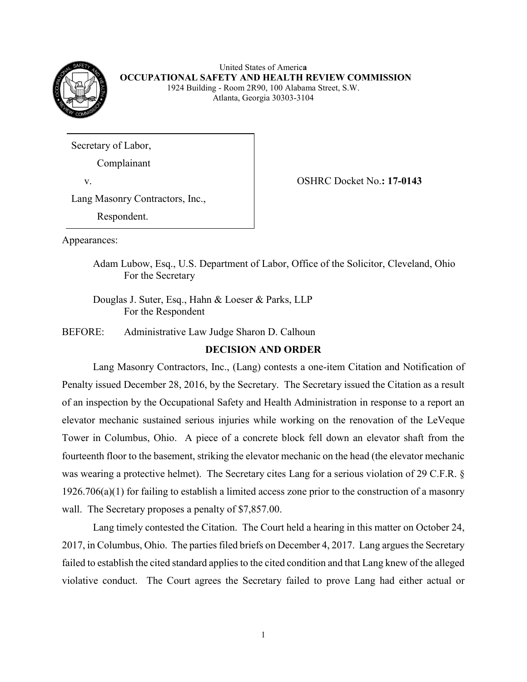

United States of Americ**a OCCUPATIONAL SAFETY AND HEALTH REVIEW COMMISSION** 1924 Building - Room 2R90, 100 Alabama Street, S.W. Atlanta, Georgia 30303-3104

Secretary of Labor,

Complainant

v. OSHRC Docket No.**: 17-0143** 

Lang Masonry Contractors, Inc.,

Respondent.

Appearances:

Adam Lubow, Esq., U.S. Department of Labor, Office of the Solicitor, Cleveland, Ohio For the Secretary

Douglas J. Suter, Esq., Hahn & Loeser & Parks, LLP For the Respondent

BEFORE: Administrative Law Judge Sharon D. Calhoun

# **DECISION AND ORDER**

Lang Masonry Contractors, Inc., (Lang) contests a one-item Citation and Notification of Penalty issued December 28, 2016, by the Secretary. The Secretary issued the Citation as a result of an inspection by the Occupational Safety and Health Administration in response to a report an elevator mechanic sustained serious injuries while working on the renovation of the LeVeque Tower in Columbus, Ohio. A piece of a concrete block fell down an elevator shaft from the fourteenth floor to the basement, striking the elevator mechanic on the head (the elevator mechanic was wearing a protective helmet). The Secretary cites Lang for a serious violation of 29 C.F.R. § 1926.706(a)(1) for failing to establish a limited access zone prior to the construction of a masonry wall. The Secretary proposes a penalty of \$7,857.00.

Lang timely contested the Citation. The Court held a hearing in this matter on October 24, 2017, in Columbus, Ohio. The parties filed briefs on December 4, 2017. Lang argues the Secretary failed to establish the cited standard applies to the cited condition and that Lang knew of the alleged violative conduct. The Court agrees the Secretary failed to prove Lang had either actual or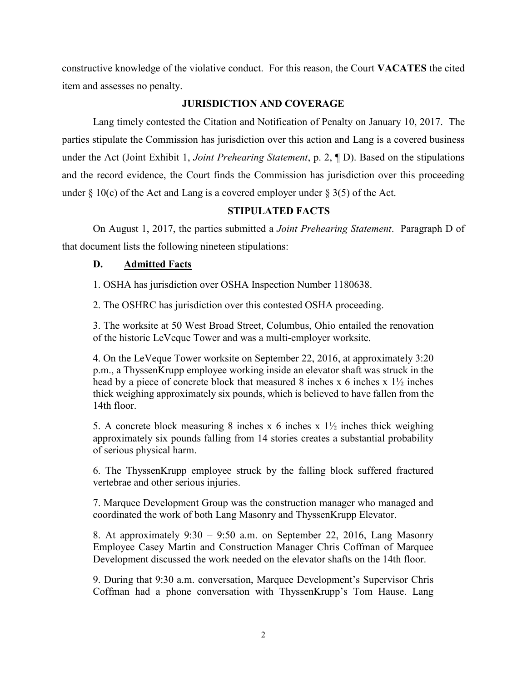constructive knowledge of the violative conduct. For this reason, the Court **VACATES** the cited item and assesses no penalty.

# **JURISDICTION AND COVERAGE**

Lang timely contested the Citation and Notification of Penalty on January 10, 2017. The parties stipulate the Commission has jurisdiction over this action and Lang is a covered business under the Act (Joint Exhibit 1, *Joint Prehearing Statement*, p. 2, ¶ D). Based on the stipulations and the record evidence, the Court finds the Commission has jurisdiction over this proceeding under  $\S 10(c)$  of the Act and Lang is a covered employer under  $\S 3(5)$  of the Act.

# **STIPULATED FACTS**

On August 1, 2017, the parties submitted a *Joint Prehearing Statement*. Paragraph D of that document lists the following nineteen stipulations:

# **D. Admitted Facts**

1. OSHA has jurisdiction over OSHA Inspection Number 1180638.

2. The OSHRC has jurisdiction over this contested OSHA proceeding.

3. The worksite at 50 West Broad Street, Columbus, Ohio entailed the renovation of the historic LeVeque Tower and was a multi-employer worksite.

4. On the LeVeque Tower worksite on September 22, 2016, at approximately 3:20 p.m., a ThyssenKrupp employee working inside an elevator shaft was struck in the head by a piece of concrete block that measured 8 inches x 6 inches x  $1\frac{1}{2}$  inches thick weighing approximately six pounds, which is believed to have fallen from the 14th floor.

5. A concrete block measuring 8 inches x 6 inches x  $1\frac{1}{2}$  inches thick weighing approximately six pounds falling from 14 stories creates a substantial probability of serious physical harm.

6. The ThyssenKrupp employee struck by the falling block suffered fractured vertebrae and other serious injuries.

7. Marquee Development Group was the construction manager who managed and coordinated the work of both Lang Masonry and ThyssenKrupp Elevator.

8. At approximately 9:30 – 9:50 a.m. on September 22, 2016, Lang Masonry Employee Casey Martin and Construction Manager Chris Coffman of Marquee Development discussed the work needed on the elevator shafts on the 14th floor.

9. During that 9:30 a.m. conversation, Marquee Development's Supervisor Chris Coffman had a phone conversation with ThyssenKrupp's Tom Hause. Lang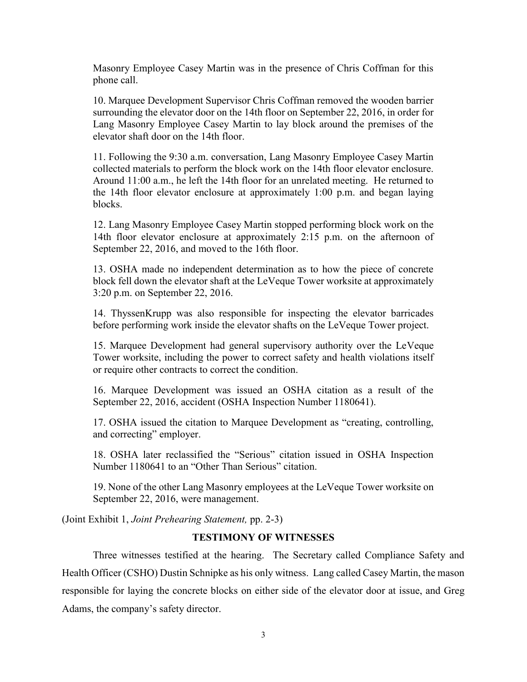Masonry Employee Casey Martin was in the presence of Chris Coffman for this phone call.

10. Marquee Development Supervisor Chris Coffman removed the wooden barrier surrounding the elevator door on the 14th floor on September 22, 2016, in order for Lang Masonry Employee Casey Martin to lay block around the premises of the elevator shaft door on the 14th floor.

11. Following the 9:30 a.m. conversation, Lang Masonry Employee Casey Martin collected materials to perform the block work on the 14th floor elevator enclosure. Around 11:00 a.m., he left the 14th floor for an unrelated meeting. He returned to the 14th floor elevator enclosure at approximately 1:00 p.m. and began laying blocks.

12. Lang Masonry Employee Casey Martin stopped performing block work on the 14th floor elevator enclosure at approximately 2:15 p.m. on the afternoon of September 22, 2016, and moved to the 16th floor.

13. OSHA made no independent determination as to how the piece of concrete block fell down the elevator shaft at the LeVeque Tower worksite at approximately 3:20 p.m. on September 22, 2016.

14. ThyssenKrupp was also responsible for inspecting the elevator barricades before performing work inside the elevator shafts on the LeVeque Tower project.

15. Marquee Development had general supervisory authority over the LeVeque Tower worksite, including the power to correct safety and health violations itself or require other contracts to correct the condition.

16. Marquee Development was issued an OSHA citation as a result of the September 22, 2016, accident (OSHA Inspection Number 1180641).

17. OSHA issued the citation to Marquee Development as "creating, controlling, and correcting" employer.

18. OSHA later reclassified the "Serious" citation issued in OSHA Inspection Number 1180641 to an "Other Than Serious" citation.

19. None of the other Lang Masonry employees at the LeVeque Tower worksite on September 22, 2016, were management.

(Joint Exhibit 1, *Joint Prehearing Statement,* pp. 2-3)

## **TESTIMONY OF WITNESSES**

Three witnesses testified at the hearing. The Secretary called Compliance Safety and Health Officer (CSHO) Dustin Schnipke as his only witness. Lang called Casey Martin, the mason responsible for laying the concrete blocks on either side of the elevator door at issue, and Greg Adams, the company's safety director.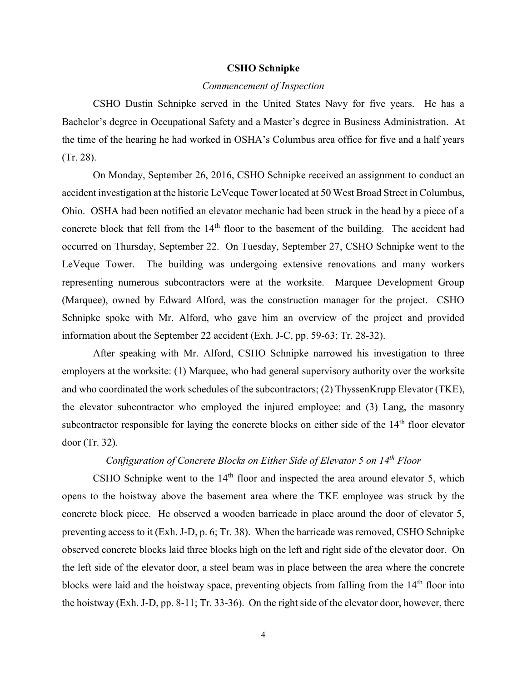#### **CSHO Schnipke**

## *Commencement of Inspection*

CSHO Dustin Schnipke served in the United States Navy for five years. He has a Bachelor's degree in Occupational Safety and a Master's degree in Business Administration. At the time of the hearing he had worked in OSHA's Columbus area office for five and a half years (Tr. 28).

On Monday, September 26, 2016, CSHO Schnipke received an assignment to conduct an accident investigation at the historic LeVeque Tower located at 50 West Broad Street in Columbus, Ohio. OSHA had been notified an elevator mechanic had been struck in the head by a piece of a concrete block that fell from the 14<sup>th</sup> floor to the basement of the building. The accident had occurred on Thursday, September 22. On Tuesday, September 27, CSHO Schnipke went to the LeVeque Tower. The building was undergoing extensive renovations and many workers representing numerous subcontractors were at the worksite. Marquee Development Group (Marquee), owned by Edward Alford, was the construction manager for the project. CSHO Schnipke spoke with Mr. Alford, who gave him an overview of the project and provided information about the September 22 accident (Exh. J-C, pp. 59-63; Tr. 28-32).

After speaking with Mr. Alford, CSHO Schnipke narrowed his investigation to three employers at the worksite: (1) Marquee, who had general supervisory authority over the worksite and who coordinated the work schedules of the subcontractors; (2) ThyssenKrupp Elevator (TKE), the elevator subcontractor who employed the injured employee; and (3) Lang, the masonry subcontractor responsible for laying the concrete blocks on either side of the 14<sup>th</sup> floor elevator door (Tr. 32).

# *Configuration of Concrete Blocks on Either Side of Elevator 5 on 14th Floor*

CSHO Schnipke went to the  $14<sup>th</sup>$  floor and inspected the area around elevator 5, which opens to the hoistway above the basement area where the TKE employee was struck by the concrete block piece. He observed a wooden barricade in place around the door of elevator 5, preventing access to it (Exh. J-D, p. 6; Tr. 38). When the barricade was removed, CSHO Schnipke observed concrete blocks laid three blocks high on the left and right side of the elevator door. On the left side of the elevator door, a steel beam was in place between the area where the concrete blocks were laid and the hoistway space, preventing objects from falling from the 14<sup>th</sup> floor into the hoistway (Exh. J-D, pp. 8-11; Tr. 33-36). On the right side of the elevator door, however, there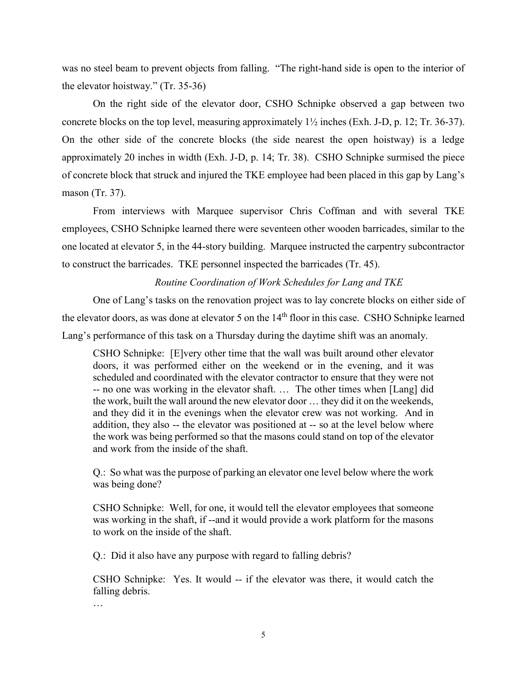was no steel beam to prevent objects from falling. "The right-hand side is open to the interior of the elevator hoistway." (Tr. 35-36)

On the right side of the elevator door, CSHO Schnipke observed a gap between two concrete blocks on the top level, measuring approximately 1½ inches (Exh. J-D, p. 12; Tr. 36-37). On the other side of the concrete blocks (the side nearest the open hoistway) is a ledge approximately 20 inches in width (Exh. J-D, p. 14; Tr. 38). CSHO Schnipke surmised the piece of concrete block that struck and injured the TKE employee had been placed in this gap by Lang's mason (Tr. 37).

From interviews with Marquee supervisor Chris Coffman and with several TKE employees, CSHO Schnipke learned there were seventeen other wooden barricades, similar to the one located at elevator 5, in the 44-story building. Marquee instructed the carpentry subcontractor to construct the barricades. TKE personnel inspected the barricades (Tr. 45).

## *Routine Coordination of Work Schedules for Lang and TKE*

One of Lang's tasks on the renovation project was to lay concrete blocks on either side of the elevator doors, as was done at elevator 5 on the 14<sup>th</sup> floor in this case. CSHO Schnipke learned Lang's performance of this task on a Thursday during the daytime shift was an anomaly.

CSHO Schnipke: [E]very other time that the wall was built around other elevator doors, it was performed either on the weekend or in the evening, and it was scheduled and coordinated with the elevator contractor to ensure that they were not -- no one was working in the elevator shaft. … The other times when [Lang] did the work, built the wall around the new elevator door … they did it on the weekends, and they did it in the evenings when the elevator crew was not working. And in addition, they also -- the elevator was positioned at -- so at the level below where the work was being performed so that the masons could stand on top of the elevator and work from the inside of the shaft.

Q.: So what was the purpose of parking an elevator one level below where the work was being done?

CSHO Schnipke: Well, for one, it would tell the elevator employees that someone was working in the shaft, if --and it would provide a work platform for the masons to work on the inside of the shaft.

Q.: Did it also have any purpose with regard to falling debris?

CSHO Schnipke: Yes. It would -- if the elevator was there, it would catch the falling debris.

…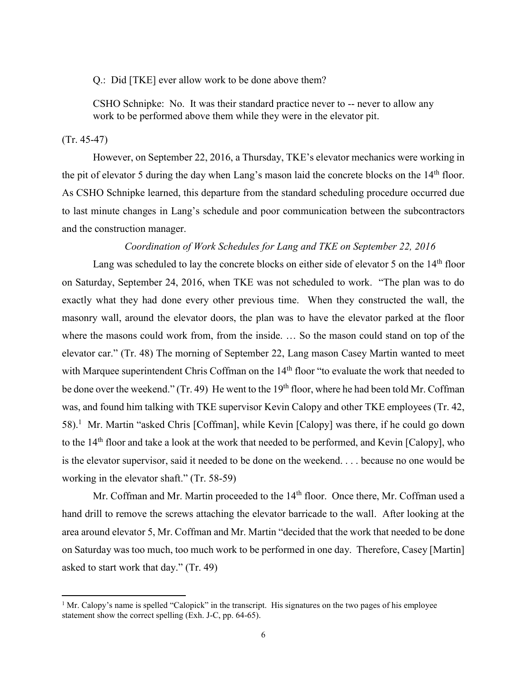Q.: Did [TKE] ever allow work to be done above them?

CSHO Schnipke: No. It was their standard practice never to -- never to allow any work to be performed above them while they were in the elevator pit.

#### (Tr. 45-47)

 $\overline{a}$ 

However, on September 22, 2016, a Thursday, TKE's elevator mechanics were working in the pit of elevator 5 during the day when Lang's mason laid the concrete blocks on the 14<sup>th</sup> floor. As CSHO Schnipke learned, this departure from the standard scheduling procedure occurred due to last minute changes in Lang's schedule and poor communication between the subcontractors and the construction manager.

# *Coordination of Work Schedules for Lang and TKE on September 22, 2016*

Lang was scheduled to lay the concrete blocks on either side of elevator 5 on the  $14<sup>th</sup>$  floor on Saturday, September 24, 2016, when TKE was not scheduled to work. "The plan was to do exactly what they had done every other previous time. When they constructed the wall, the masonry wall, around the elevator doors, the plan was to have the elevator parked at the floor where the masons could work from, from the inside. … So the mason could stand on top of the elevator car." (Tr. 48) The morning of September 22, Lang mason Casey Martin wanted to meet with Marquee superintendent Chris Coffman on the 14<sup>th</sup> floor "to evaluate the work that needed to be done over the weekend." (Tr. 49) He went to the 19<sup>th</sup> floor, where he had been told Mr. Coffman was, and found him talking with TKE supervisor Kevin Calopy and other TKE employees (Tr. 42, 58).<sup>1</sup> Mr. Martin "asked Chris [Coffman], while Kevin [Calopy] was there, if he could go down to the 14<sup>th</sup> floor and take a look at the work that needed to be performed, and Kevin [Calopy], who is the elevator supervisor, said it needed to be done on the weekend. . . . because no one would be working in the elevator shaft." (Tr. 58-59)

Mr. Coffman and Mr. Martin proceeded to the 14<sup>th</sup> floor. Once there, Mr. Coffman used a hand drill to remove the screws attaching the elevator barricade to the wall. After looking at the area around elevator 5, Mr. Coffman and Mr. Martin "decided that the work that needed to be done on Saturday was too much, too much work to be performed in one day. Therefore, Casey [Martin] asked to start work that day." (Tr. 49)

<sup>&</sup>lt;sup>1</sup> Mr. Calopy's name is spelled "Calopick" in the transcript. His signatures on the two pages of his employee statement show the correct spelling (Exh. J-C, pp. 64-65).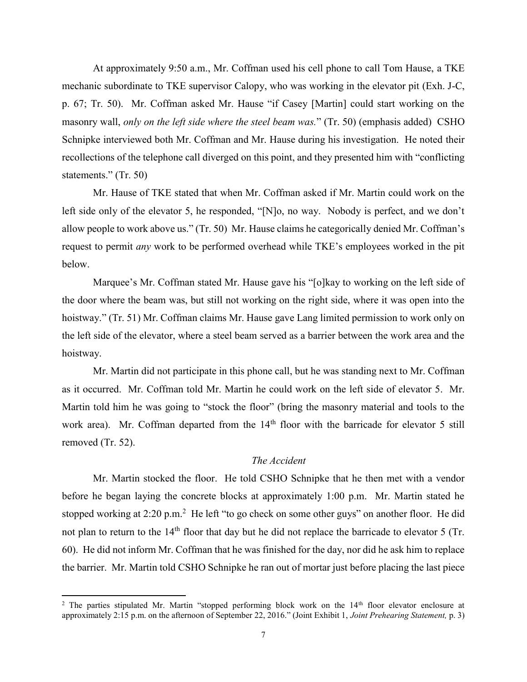At approximately 9:50 a.m., Mr. Coffman used his cell phone to call Tom Hause, a TKE mechanic subordinate to TKE supervisor Calopy, who was working in the elevator pit (Exh. J-C, p. 67; Tr. 50). Mr. Coffman asked Mr. Hause "if Casey [Martin] could start working on the masonry wall, *only on the left side where the steel beam was.*" (Tr. 50) (emphasis added) CSHO Schnipke interviewed both Mr. Coffman and Mr. Hause during his investigation. He noted their recollections of the telephone call diverged on this point, and they presented him with "conflicting statements." (Tr. 50)

Mr. Hause of TKE stated that when Mr. Coffman asked if Mr. Martin could work on the left side only of the elevator 5, he responded, "[N]o, no way. Nobody is perfect, and we don't allow people to work above us." (Tr. 50) Mr. Hause claims he categorically denied Mr. Coffman's request to permit *any* work to be performed overhead while TKE's employees worked in the pit below.

Marquee's Mr. Coffman stated Mr. Hause gave his "[o]kay to working on the left side of the door where the beam was, but still not working on the right side, where it was open into the hoistway." (Tr. 51) Mr. Coffman claims Mr. Hause gave Lang limited permission to work only on the left side of the elevator, where a steel beam served as a barrier between the work area and the hoistway.

Mr. Martin did not participate in this phone call, but he was standing next to Mr. Coffman as it occurred. Mr. Coffman told Mr. Martin he could work on the left side of elevator 5. Mr. Martin told him he was going to "stock the floor" (bring the masonry material and tools to the work area). Mr. Coffman departed from the 14<sup>th</sup> floor with the barricade for elevator 5 still removed (Tr. 52).

# *The Accident*

Mr. Martin stocked the floor. He told CSHO Schnipke that he then met with a vendor before he began laying the concrete blocks at approximately 1:00 p.m. Mr. Martin stated he stopped working at 2:20 p.m.<sup>2</sup> He left "to go check on some other guys" on another floor. He did not plan to return to the 14<sup>th</sup> floor that day but he did not replace the barricade to elevator 5 (Tr. 60). He did not inform Mr. Coffman that he was finished for the day, nor did he ask him to replace the barrier. Mr. Martin told CSHO Schnipke he ran out of mortar just before placing the last piece

 $\overline{a}$ 

<sup>&</sup>lt;sup>2</sup> The parties stipulated Mr. Martin "stopped performing block work on the 14<sup>th</sup> floor elevator enclosure at approximately 2:15 p.m. on the afternoon of September 22, 2016." (Joint Exhibit 1, *Joint Prehearing Statement,* p. 3)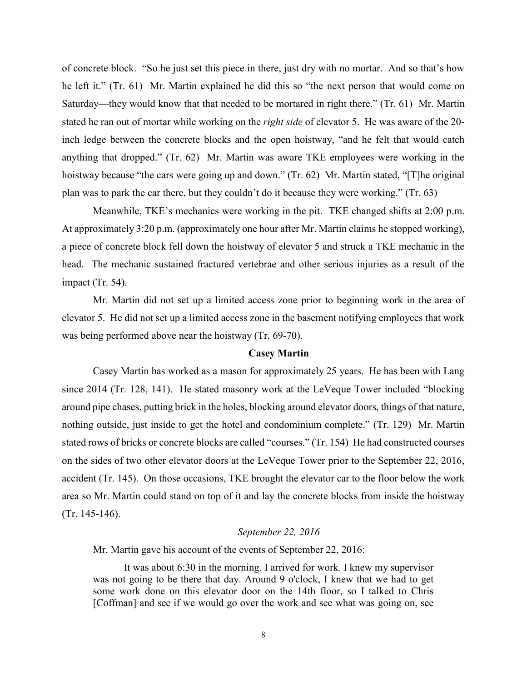of concrete block. "So he just set this piece in there, just dry with no mortar. And so that's how he left it." (Tr. 61) Mr. Martin explained he did this so "the next person that would come on Saturday—they would know that that needed to be mortared in right there." (Tr. 61) Mr. Martin stated he ran out of mortar while working on the *right side* of elevator 5. He was aware of the 20 inch ledge between the concrete blocks and the open hoistway, "and he felt that would catch anything that dropped." (Tr. 62) Mr. Martin was aware TKE employees were working in the hoistway because "the cars were going up and down." (Tr. 62) Mr. Martin stated, "[T]he original plan was to park the car there, but they couldn't do it because they were working." (Tr. 63)

Meanwhile, TKE's mechanics were working in the pit. TKE changed shifts at 2:00 p.m. At approximately 3:20 p.m. (approximately one hour after Mr. Martin claims he stopped working), a piece of concrete block fell down the hoistway of elevator 5 and struck a TKE mechanic in the head. The mechanic sustained fractured vertebrae and other serious injuries as a result of the impact (Tr. 54).

Mr. Martin did not set up a limited access zone prior to beginning work in the area of elevator 5. He did not set up a limited access zone in the basement notifying employees that work was being performed above near the hoistway (Tr. 69-70).

#### **Casey Martin**

Casey Martin has worked as a mason for approximately 25 years. He has been with Lang since 2014 (Tr. 128, 141). He stated masonry work at the LeVeque Tower included "blocking around pipe chases, putting brick in the holes, blocking around elevator doors, things of that nature, nothing outside, just inside to get the hotel and condominium complete." (Tr. 129) Mr. Martin stated rows of bricks or concrete blocks are called "courses." (Tr. 154) He had constructed courses on the sides of two other elevator doors at the LeVeque Tower prior to the September 22, 2016, accident (Tr. 145). On those occasions, TKE brought the elevator car to the floor below the work area so Mr. Martin could stand on top of it and lay the concrete blocks from inside the hoistway (Tr. 145-146).

## *September 22, 2016*

Mr. Martin gave his account of the events of September 22, 2016:

It was about 6:30 in the morning. I arrived for work. I knew my supervisor was not going to be there that day. Around 9 o'clock, I knew that we had to get some work done on this elevator door on the 14th floor, so I talked to Chris [Coffman] and see if we would go over the work and see what was going on, see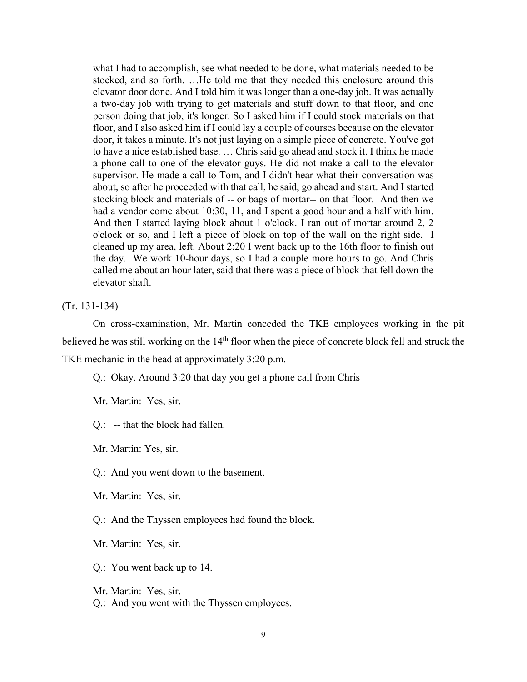what I had to accomplish, see what needed to be done, what materials needed to be stocked, and so forth. …He told me that they needed this enclosure around this elevator door done. And I told him it was longer than a one-day job. It was actually a two-day job with trying to get materials and stuff down to that floor, and one person doing that job, it's longer. So I asked him if I could stock materials on that floor, and I also asked him if I could lay a couple of courses because on the elevator door, it takes a minute. It's not just laying on a simple piece of concrete. You've got to have a nice established base. … Chris said go ahead and stock it. I think he made a phone call to one of the elevator guys. He did not make a call to the elevator supervisor. He made a call to Tom, and I didn't hear what their conversation was about, so after he proceeded with that call, he said, go ahead and start. And I started stocking block and materials of -- or bags of mortar-- on that floor. And then we had a vendor come about 10:30, 11, and I spent a good hour and a half with him. And then I started laying block about 1 o'clock. I ran out of mortar around 2, 2 o'clock or so, and I left a piece of block on top of the wall on the right side. I cleaned up my area, left. About 2:20 I went back up to the 16th floor to finish out the day. We work 10-hour days, so I had a couple more hours to go. And Chris called me about an hour later, said that there was a piece of block that fell down the elevator shaft.

(Tr. 131-134)

On cross-examination, Mr. Martin conceded the TKE employees working in the pit believed he was still working on the 14<sup>th</sup> floor when the piece of concrete block fell and struck the TKE mechanic in the head at approximately 3:20 p.m.

Q.: Okay. Around 3:20 that day you get a phone call from Chris –

Mr. Martin: Yes, sir.

Q.: -- that the block had fallen.

Mr. Martin: Yes, sir.

Q.: And you went down to the basement.

Mr. Martin: Yes, sir.

Q.: And the Thyssen employees had found the block.

Mr. Martin: Yes, sir.

Q.: You went back up to 14.

Mr. Martin: Yes, sir.

Q.: And you went with the Thyssen employees.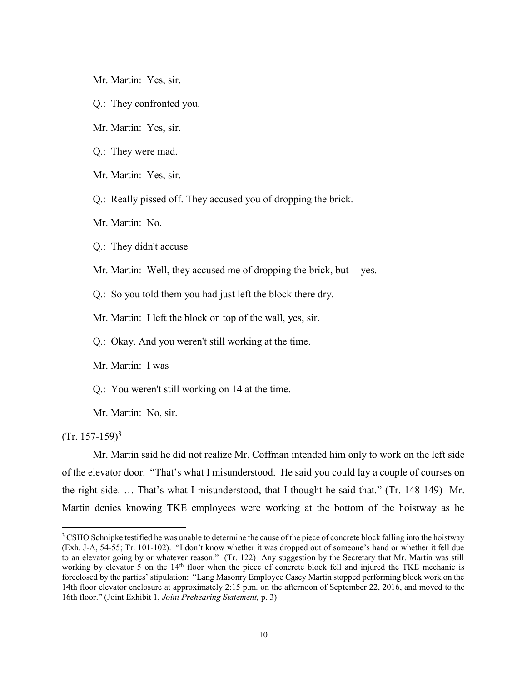- Mr. Martin: Yes, sir.
- Q.: They confronted you.
- Mr. Martin: Yes, sir.
- Q.: They were mad.
- Mr. Martin: Yes, sir.
- Q.: Really pissed off. They accused you of dropping the brick.
- Mr. Martin: No.
- Q.: They didn't accuse –
- Mr. Martin: Well, they accused me of dropping the brick, but -- yes.
- Q.: So you told them you had just left the block there dry.
- Mr. Martin: I left the block on top of the wall, yes, sir.
- Q.: Okay. And you weren't still working at the time.
- Mr. Martin: I was –
- Q.: You weren't still working on 14 at the time.
- Mr. Martin: No, sir.

 $(Tr. 157-159)^3$ 

 $\overline{\phantom{a}}$ 

Mr. Martin said he did not realize Mr. Coffman intended him only to work on the left side of the elevator door. "That's what I misunderstood. He said you could lay a couple of courses on the right side. … That's what I misunderstood, that I thought he said that." (Tr. 148-149) Mr. Martin denies knowing TKE employees were working at the bottom of the hoistway as he

<sup>&</sup>lt;sup>3</sup> CSHO Schnipke testified he was unable to determine the cause of the piece of concrete block falling into the hoistway (Exh. J-A, 54-55; Tr. 101-102). "I don't know whether it was dropped out of someone's hand or whether it fell due to an elevator going by or whatever reason." (Tr. 122) Any suggestion by the Secretary that Mr. Martin was still working by elevator 5 on the 14<sup>th</sup> floor when the piece of concrete block fell and injured the TKE mechanic is foreclosed by the parties' stipulation: "Lang Masonry Employee Casey Martin stopped performing block work on the 14th floor elevator enclosure at approximately 2:15 p.m. on the afternoon of September 22, 2016, and moved to the 16th floor." (Joint Exhibit 1, *Joint Prehearing Statement,* p. 3)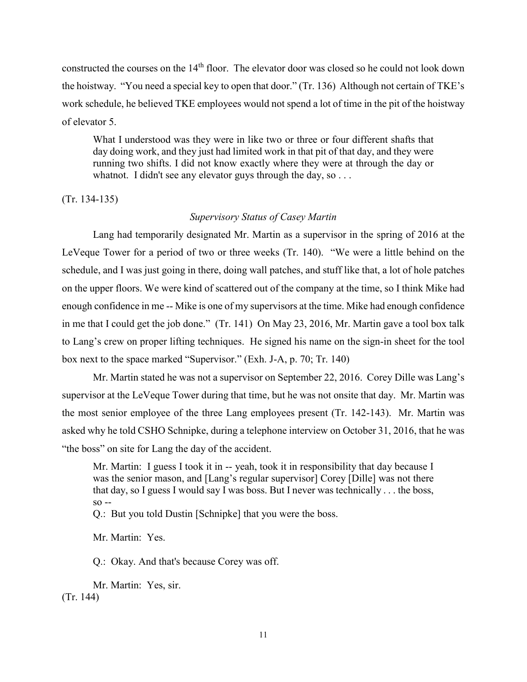constructed the courses on the 14<sup>th</sup> floor. The elevator door was closed so he could not look down the hoistway. "You need a special key to open that door." (Tr. 136) Although not certain of TKE's work schedule, he believed TKE employees would not spend a lot of time in the pit of the hoistway of elevator 5.

What I understood was they were in like two or three or four different shafts that day doing work, and they just had limited work in that pit of that day, and they were running two shifts. I did not know exactly where they were at through the day or whatnot. I didn't see any elevator guys through the day, so ...

(Tr. 134-135)

## *Supervisory Status of Casey Martin*

Lang had temporarily designated Mr. Martin as a supervisor in the spring of 2016 at the LeVeque Tower for a period of two or three weeks (Tr. 140). "We were a little behind on the schedule, and I was just going in there, doing wall patches, and stuff like that, a lot of hole patches on the upper floors. We were kind of scattered out of the company at the time, so I think Mike had enough confidence in me -- Mike is one of my supervisors at the time. Mike had enough confidence in me that I could get the job done." (Tr. 141) On May 23, 2016, Mr. Martin gave a tool box talk to Lang's crew on proper lifting techniques. He signed his name on the sign-in sheet for the tool box next to the space marked "Supervisor." (Exh. J-A, p. 70; Tr. 140)

Mr. Martin stated he was not a supervisor on September 22, 2016. Corey Dille was Lang's supervisor at the LeVeque Tower during that time, but he was not onsite that day. Mr. Martin was the most senior employee of the three Lang employees present (Tr. 142-143). Mr. Martin was asked why he told CSHO Schnipke, during a telephone interview on October 31, 2016, that he was "the boss" on site for Lang the day of the accident.

Mr. Martin: I guess I took it in -- yeah, took it in responsibility that day because I was the senior mason, and [Lang's regular supervisor] Corey [Dille] was not there that day, so I guess I would say I was boss. But I never was technically . . . the boss, so --

Q.: But you told Dustin [Schnipke] that you were the boss.

Mr. Martin: Yes.

Q.: Okay. And that's because Corey was off.

Mr. Martin: Yes, sir. (Tr. 144)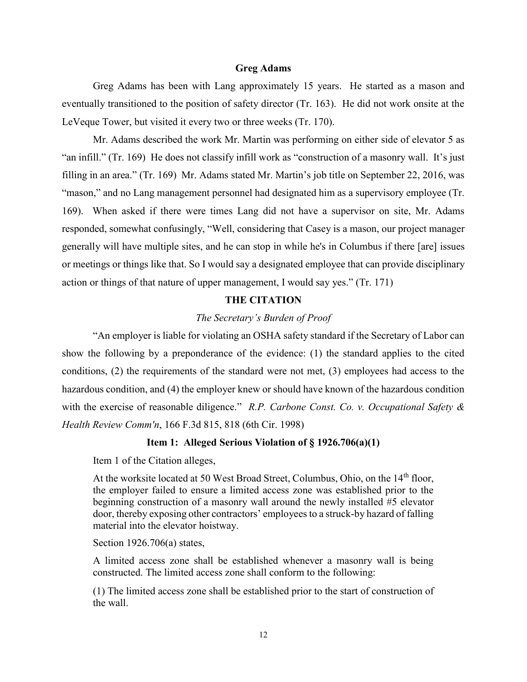#### **Greg Adams**

Greg Adams has been with Lang approximately 15 years. He started as a mason and eventually transitioned to the position of safety director (Tr. 163). He did not work onsite at the LeVeque Tower, but visited it every two or three weeks (Tr. 170).

Mr. Adams described the work Mr. Martin was performing on either side of elevator 5 as "an infill." (Tr. 169) He does not classify infill work as "construction of a masonry wall. It's just filling in an area." (Tr. 169) Mr. Adams stated Mr. Martin's job title on September 22, 2016, was "mason," and no Lang management personnel had designated him as a supervisory employee (Tr. 169). When asked if there were times Lang did not have a supervisor on site, Mr. Adams responded, somewhat confusingly, "Well, considering that Casey is a mason, our project manager generally will have multiple sites, and he can stop in while he's in Columbus if there [are] issues or meetings or things like that. So I would say a designated employee that can provide disciplinary action or things of that nature of upper management, I would say yes." (Tr. 171)

## **THE CITATION**

## *The Secretary's Burden of Proof*

"An employer is liable for violating an OSHA safety standard if the Secretary of Labor can show the following by a preponderance of the evidence: (1) the standard applies to the cited conditions, (2) the requirements of the standard were not met, (3) employees had access to the hazardous condition, and (4) the employer knew or should have known of the hazardous condition with the exercise of reasonable diligence." *R.P. Carbone Const. Co. v. Occupational Safety & Health Review Comm'n*, 166 F.3d 815, 818 (6th Cir. 1998)

## **Item 1: Alleged Serious Violation of § 1926.706(a)(1)**

Item 1 of the Citation alleges,

At the worksite located at 50 West Broad Street, Columbus, Ohio, on the  $14<sup>th</sup>$  floor, the employer failed to ensure a limited access zone was established prior to the beginning construction of a masonry wall around the newly installed #5 elevator door, thereby exposing other contractors' employees to a struck-by hazard of falling material into the elevator hoistway.

Section 1926.706(a) states,

A limited access zone shall be established whenever a masonry wall is being constructed. The limited access zone shall conform to the following:

(1) The limited access zone shall be established prior to the start of construction of the wall.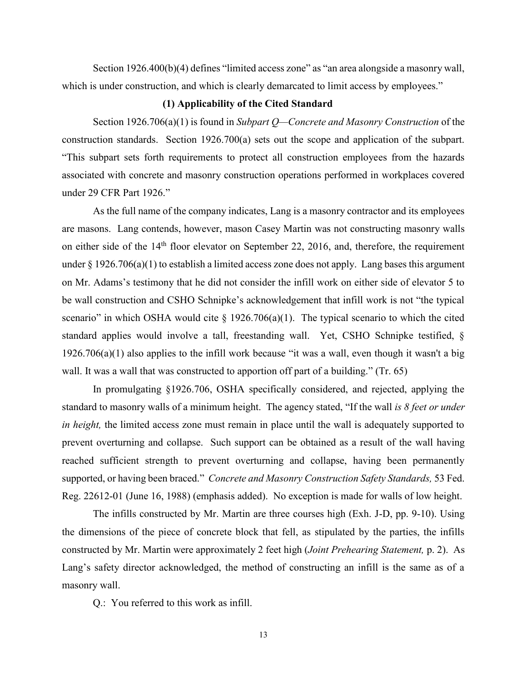Section 1926.400(b)(4) defines "limited access zone" as "an area alongside a masonry wall, which is under construction, and which is clearly demarcated to limit access by employees."

# **(1) Applicability of the Cited Standard**

Section 1926.706(a)(1) is found in *Subpart Q—Concrete and Masonry Construction* of the construction standards. Section 1926.700(a) sets out the scope and application of the subpart. "This subpart sets forth requirements to protect all construction employees from the hazards associated with concrete and masonry construction operations performed in workplaces covered under 29 CFR Part 1926."

As the full name of the company indicates, Lang is a masonry contractor and its employees are masons. Lang contends, however, mason Casey Martin was not constructing masonry walls on either side of the 14th floor elevator on September 22, 2016, and, therefore, the requirement under § 1926.706(a)(1) to establish a limited access zone does not apply. Lang bases this argument on Mr. Adams's testimony that he did not consider the infill work on either side of elevator 5 to be wall construction and CSHO Schnipke's acknowledgement that infill work is not "the typical scenario" in which OSHA would cite  $\S$  1926.706(a)(1). The typical scenario to which the cited standard applies would involve a tall, freestanding wall. Yet, CSHO Schnipke testified, § 1926.706(a)(1) also applies to the infill work because "it was a wall, even though it wasn't a big wall. It was a wall that was constructed to apportion off part of a building." (Tr. 65)

In promulgating §1926.706, OSHA specifically considered, and rejected, applying the standard to masonry walls of a minimum height. The agency stated, "If the wall *is 8 feet or under in height,* the limited access zone must remain in place until the wall is adequately supported to prevent overturning and collapse. Such support can be obtained as a result of the wall having reached sufficient strength to prevent overturning and collapse, having been permanently supported, or having been braced." *Concrete and Masonry Construction Safety Standards,* 53 Fed. Reg. 22612-01 (June 16, 1988) (emphasis added). No exception is made for walls of low height.

The infills constructed by Mr. Martin are three courses high (Exh. J-D, pp. 9-10). Using the dimensions of the piece of concrete block that fell, as stipulated by the parties, the infills constructed by Mr. Martin were approximately 2 feet high (*Joint Prehearing Statement,* p. 2). As Lang's safety director acknowledged, the method of constructing an infill is the same as of a masonry wall.

Q.: You referred to this work as infill.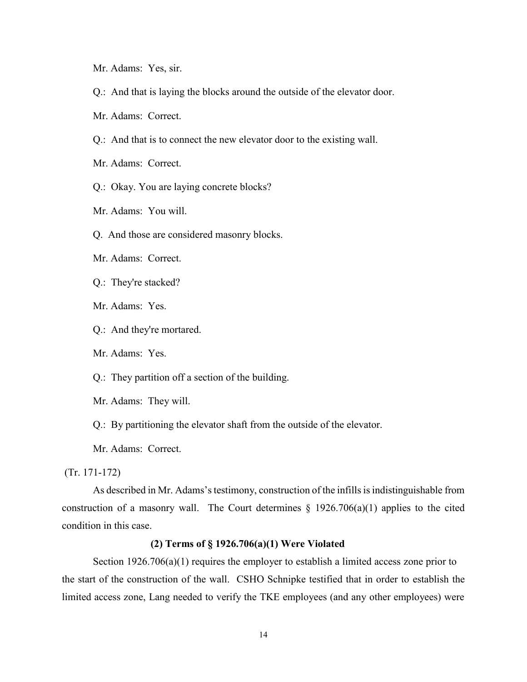- Mr. Adams: Yes, sir.
- Q.: And that is laying the blocks around the outside of the elevator door.
- Mr. Adams: Correct.
- Q.: And that is to connect the new elevator door to the existing wall.
- Mr. Adams: Correct.
- Q.: Okay. You are laying concrete blocks?
- Mr. Adams: You will.
- Q. And those are considered masonry blocks.
- Mr. Adams: Correct.
- Q.: They're stacked?
- Mr. Adams: Yes.
- Q.: And they're mortared.
- Mr. Adams: Yes.
- Q.: They partition off a section of the building.
- Mr. Adams: They will.
- Q.: By partitioning the elevator shaft from the outside of the elevator.

Mr. Adams: Correct.

(Tr. 171-172)

As described in Mr. Adams's testimony, construction of the infills is indistinguishable from construction of a masonry wall. The Court determines  $\S$  1926.706(a)(1) applies to the cited condition in this case.

#### **(2) Terms of § 1926.706(a)(1) Were Violated**

Section 1926.706(a)(1) requires the employer to establish a limited access zone prior to the start of the construction of the wall. CSHO Schnipke testified that in order to establish the limited access zone, Lang needed to verify the TKE employees (and any other employees) were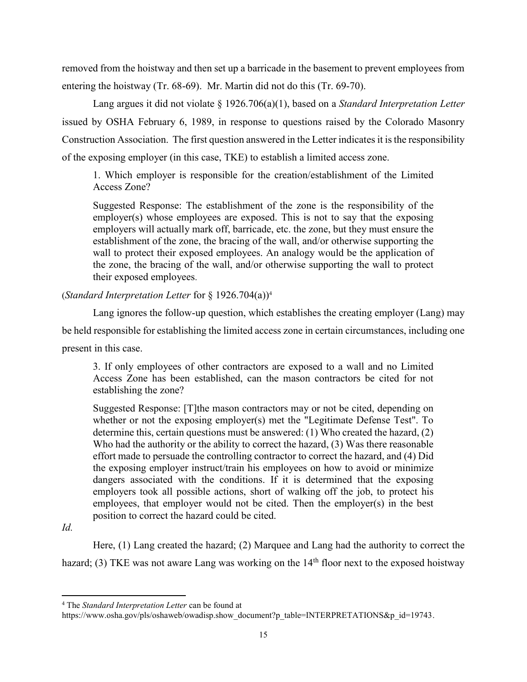removed from the hoistway and then set up a barricade in the basement to prevent employees from entering the hoistway (Tr. 68-69). Mr. Martin did not do this (Tr. 69-70).

Lang argues it did not violate § 1926.706(a)(1), based on a *Standard Interpretation Letter* issued by OSHA February 6, 1989, in response to questions raised by the Colorado Masonry Construction Association. The first question answered in the Letter indicates it is the responsibility of the exposing employer (in this case, TKE) to establish a limited access zone.

1. Which employer is responsible for the creation/establishment of the Limited Access Zone?

Suggested Response: The establishment of the zone is the responsibility of the employer(s) whose employees are exposed. This is not to say that the exposing employers will actually mark off, barricade, etc. the zone, but they must ensure the establishment of the zone, the bracing of the wall, and/or otherwise supporting the wall to protect their exposed employees. An analogy would be the application of the zone, the bracing of the wall, and/or otherwise supporting the wall to protect their exposed employees.

(*Standard Interpretation Letter* for § 1926.704(a))<sup>4</sup>

Lang ignores the follow-up question, which establishes the creating employer (Lang) may be held responsible for establishing the limited access zone in certain circumstances, including one present in this case.

3. If only employees of other contractors are exposed to a wall and no Limited Access Zone has been established, can the mason contractors be cited for not establishing the zone?

Suggested Response: [T]the mason contractors may or not be cited, depending on whether or not the exposing employer(s) met the "Legitimate Defense Test". To determine this, certain questions must be answered: (1) Who created the hazard, (2) Who had the authority or the ability to correct the hazard, (3) Was there reasonable effort made to persuade the controlling contractor to correct the hazard, and (4) Did the exposing employer instruct/train his employees on how to avoid or minimize dangers associated with the conditions. If it is determined that the exposing employers took all possible actions, short of walking off the job, to protect his employees, that employer would not be cited. Then the employer(s) in the best position to correct the hazard could be cited.

 $\overline{a}$ 

Here, (1) Lang created the hazard; (2) Marquee and Lang had the authority to correct the hazard; (3) TKE was not aware Lang was working on the  $14<sup>th</sup>$  floor next to the exposed hoistway

*Id.* 

<sup>4</sup> The *Standard Interpretation Letter* can be found at

https://www.osha.gov/pls/oshaweb/owadisp.show\_document?p\_table=INTERPRETATIONS&p\_id=19743.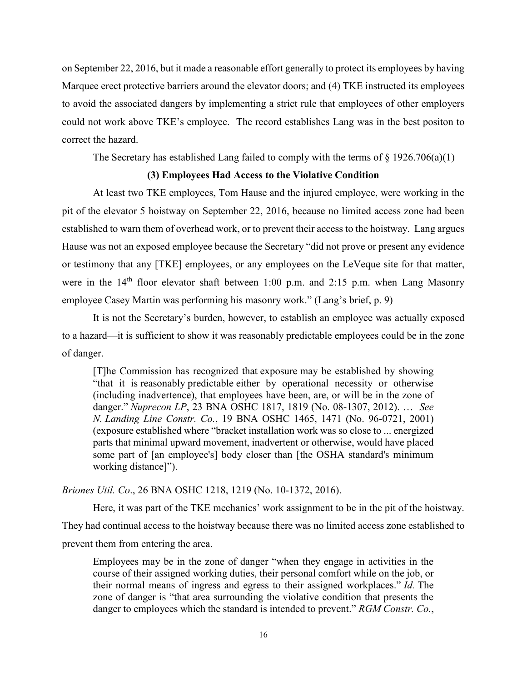on September 22, 2016, but it made a reasonable effort generally to protect its employees by having Marquee erect protective barriers around the elevator doors; and (4) TKE instructed its employees to avoid the associated dangers by implementing a strict rule that employees of other employers could not work above TKE's employee. The record establishes Lang was in the best positon to correct the hazard.

The Secretary has established Lang failed to comply with the terms of  $\S$  1926.706(a)(1)

#### **(3) Employees Had Access to the Violative Condition**

At least two TKE employees, Tom Hause and the injured employee, were working in the pit of the elevator 5 hoistway on September 22, 2016, because no limited access zone had been established to warn them of overhead work, or to prevent their access to the hoistway. Lang argues Hause was not an exposed employee because the Secretary "did not prove or present any evidence or testimony that any [TKE] employees, or any employees on the LeVeque site for that matter, were in the  $14<sup>th</sup>$  floor elevator shaft between 1:00 p.m. and 2:15 p.m. when Lang Masonry employee Casey Martin was performing his masonry work." (Lang's brief, p. 9)

It is not the Secretary's burden, however, to establish an employee was actually exposed to a hazard—it is sufficient to show it was reasonably predictable employees could be in the zone of danger.

[T]he Commission has recognized that exposure may be established by showing "that it is reasonably predictable either by operational necessity or otherwise (including inadvertence), that employees have been, are, or will be in the zone of danger." *Nuprecon LP*, 23 BNA OSHC 1817, 1819 (No. 08-1307, 2012). … *See N. Landing Line Constr. Co.*, 19 BNA OSHC 1465, 1471 (No. 96-0721, 2001) (exposure established where "bracket installation work was so close to ... energized parts that minimal upward movement, inadvertent or otherwise, would have placed some part of [an employee's] body closer than [the OSHA standard's minimum working distance]").

*Briones Util. Co*., 26 BNA OSHC 1218, 1219 (No. 10-1372, 2016).

Here, it was part of the TKE mechanics' work assignment to be in the pit of the hoistway. They had continual access to the hoistway because there was no limited access zone established to prevent them from entering the area.

Employees may be in the zone of danger "when they engage in activities in the course of their assigned working duties, their personal comfort while on the job, or their normal means of ingress and egress to their assigned workplaces." *Id.* The zone of danger is "that area surrounding the violative condition that presents the danger to employees which the standard is intended to prevent." *RGM Constr. Co.*,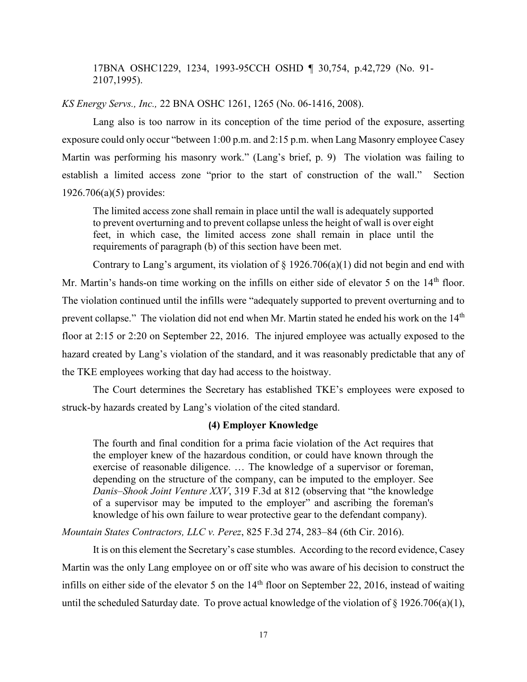17BNA OSHC1229, 1234, 1993-95CCH OSHD ¶ 30,754, p.42,729 (No. 91- 2107,1995).

*KS Energy Servs., Inc.,* 22 BNA OSHC 1261, 1265 (No. 06-1416, 2008).

Lang also is too narrow in its conception of the time period of the exposure, asserting exposure could only occur "between 1:00 p.m. and 2:15 p.m. when Lang Masonry employee Casey Martin was performing his masonry work." (Lang's brief, p. 9) The violation was failing to establish a limited access zone "prior to the start of construction of the wall." Section 1926.706(a)(5) provides:

The limited access zone shall remain in place until the wall is adequately supported to prevent overturning and to prevent collapse unless the height of wall is over eight feet, in which case, the limited access zone shall remain in place until the requirements of paragraph (b) of this section have been met.

Contrary to Lang's argument, its violation of  $\S$  1926.706(a)(1) did not begin and end with Mr. Martin's hands-on time working on the infills on either side of elevator 5 on the  $14<sup>th</sup>$  floor. The violation continued until the infills were "adequately supported to prevent overturning and to prevent collapse." The violation did not end when Mr. Martin stated he ended his work on the 14<sup>th</sup> floor at 2:15 or 2:20 on September 22, 2016. The injured employee was actually exposed to the hazard created by Lang's violation of the standard, and it was reasonably predictable that any of the TKE employees working that day had access to the hoistway.

The Court determines the Secretary has established TKE's employees were exposed to struck-by hazards created by Lang's violation of the cited standard.

#### **(4) Employer Knowledge**

The fourth and final condition for a prima facie violation of the Act requires that the employer knew of the hazardous condition, or could have known through the exercise of reasonable diligence. … The knowledge of a supervisor or foreman, depending on the structure of the company, can be imputed to the employer. See *Danis–Shook Joint Venture XXV*, 319 F.3d at 812 (observing that "the knowledge of a supervisor may be imputed to the employer" and ascribing the foreman's knowledge of his own failure to wear protective gear to the defendant company).

*Mountain States Contractors, LLC v. Perez*, 825 F.3d 274, 283–84 (6th Cir. 2016).

It is on this element the Secretary's case stumbles. According to the record evidence, Casey Martin was the only Lang employee on or off site who was aware of his decision to construct the infills on either side of the elevator 5 on the  $14<sup>th</sup>$  floor on September 22, 2016, instead of waiting until the scheduled Saturday date. To prove actual knowledge of the violation of  $\S 1926.706(a)(1)$ ,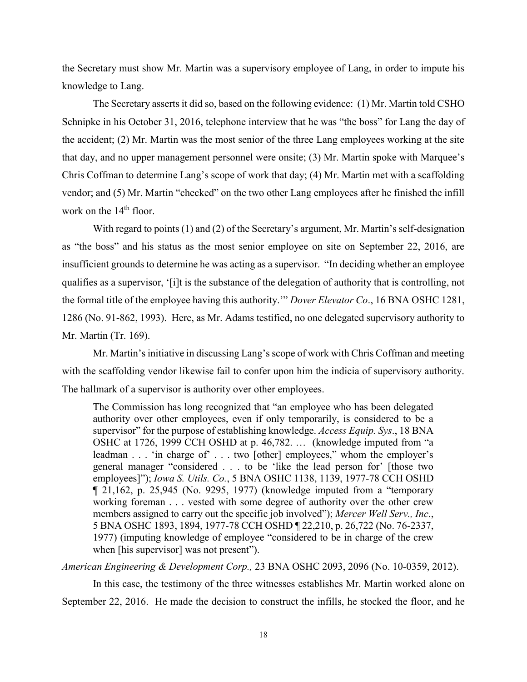the Secretary must show Mr. Martin was a supervisory employee of Lang, in order to impute his knowledge to Lang.

The Secretary asserts it did so, based on the following evidence: (1) Mr. Martin told CSHO Schnipke in his October 31, 2016, telephone interview that he was "the boss" for Lang the day of the accident; (2) Mr. Martin was the most senior of the three Lang employees working at the site that day, and no upper management personnel were onsite; (3) Mr. Martin spoke with Marquee's Chris Coffman to determine Lang's scope of work that day; (4) Mr. Martin met with a scaffolding vendor; and (5) Mr. Martin "checked" on the two other Lang employees after he finished the infill work on the  $14<sup>th</sup>$  floor.

With regard to points (1) and (2) of the Secretary's argument, Mr. Martin's self-designation as "the boss" and his status as the most senior employee on site on September 22, 2016, are insufficient grounds to determine he was acting as a supervisor. "In deciding whether an employee qualifies as a supervisor, '[i]t is the substance of the delegation of authority that is controlling, not the formal title of the employee having this authority.'" *Dover Elevator Co*., 16 BNA OSHC 1281, 1286 (No. 91-862, 1993). Here, as Mr. Adams testified, no one delegated supervisory authority to Mr. Martin (Tr. 169).

Mr. Martin's initiative in discussing Lang's scope of work with Chris Coffman and meeting with the scaffolding vendor likewise fail to confer upon him the indicia of supervisory authority. The hallmark of a supervisor is authority over other employees.

The Commission has long recognized that "an employee who has been delegated authority over other employees, even if only temporarily, is considered to be a supervisor" for the purpose of establishing knowledge. *Access Equip. Sys*., 18 BNA OSHC at 1726, 1999 CCH OSHD at p. 46,782. … (knowledge imputed from "a leadman . . . 'in charge of' . . . two [other] employees," whom the employer's general manager "considered . . . to be 'like the lead person for' [those two employees]"); *Iowa S. Utils. Co.*, 5 BNA OSHC 1138, 1139, 1977-78 CCH OSHD ¶ 21,162, p. 25,945 (No. 9295, 1977) (knowledge imputed from a "temporary working foreman . . . vested with some degree of authority over the other crew members assigned to carry out the specific job involved"); *Mercer Well Serv., Inc*., 5 BNA OSHC 1893, 1894, 1977-78 CCH OSHD ¶ 22,210, p. 26,722 (No. 76-2337, 1977) (imputing knowledge of employee "considered to be in charge of the crew when [his supervisor] was not present").

*American Engineering & Development Corp.,* 23 BNA OSHC 2093, 2096 (No. 10-0359, 2012).

In this case, the testimony of the three witnesses establishes Mr. Martin worked alone on September 22, 2016. He made the decision to construct the infills, he stocked the floor, and he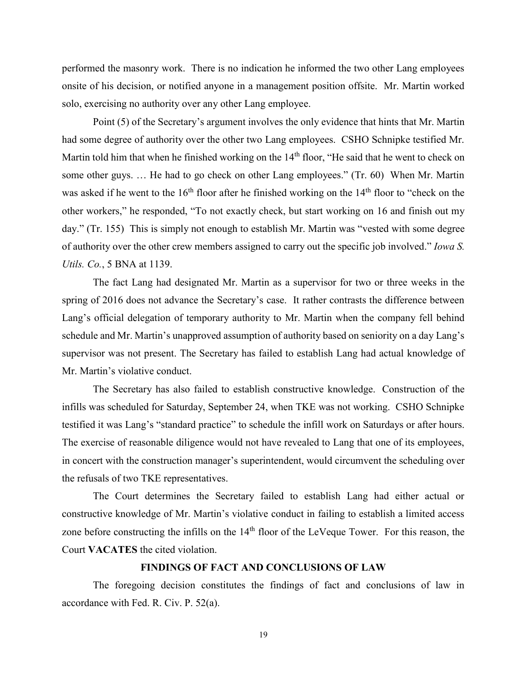performed the masonry work. There is no indication he informed the two other Lang employees onsite of his decision, or notified anyone in a management position offsite. Mr. Martin worked solo, exercising no authority over any other Lang employee.

Point (5) of the Secretary's argument involves the only evidence that hints that Mr. Martin had some degree of authority over the other two Lang employees. CSHO Schnipke testified Mr. Martin told him that when he finished working on the 14<sup>th</sup> floor, "He said that he went to check on some other guys. … He had to go check on other Lang employees." (Tr. 60) When Mr. Martin was asked if he went to the 16<sup>th</sup> floor after he finished working on the 14<sup>th</sup> floor to "check on the other workers," he responded, "To not exactly check, but start working on 16 and finish out my day." (Tr. 155) This is simply not enough to establish Mr. Martin was "vested with some degree of authority over the other crew members assigned to carry out the specific job involved." *Iowa S. Utils. Co.*, 5 BNA at 1139.

The fact Lang had designated Mr. Martin as a supervisor for two or three weeks in the spring of 2016 does not advance the Secretary's case. It rather contrasts the difference between Lang's official delegation of temporary authority to Mr. Martin when the company fell behind schedule and Mr. Martin's unapproved assumption of authority based on seniority on a day Lang's supervisor was not present. The Secretary has failed to establish Lang had actual knowledge of Mr. Martin's violative conduct.

The Secretary has also failed to establish constructive knowledge. Construction of the infills was scheduled for Saturday, September 24, when TKE was not working. CSHO Schnipke testified it was Lang's "standard practice" to schedule the infill work on Saturdays or after hours. The exercise of reasonable diligence would not have revealed to Lang that one of its employees, in concert with the construction manager's superintendent, would circumvent the scheduling over the refusals of two TKE representatives.

The Court determines the Secretary failed to establish Lang had either actual or constructive knowledge of Mr. Martin's violative conduct in failing to establish a limited access zone before constructing the infills on the 14<sup>th</sup> floor of the LeVeque Tower. For this reason, the Court **VACATES** the cited violation.

# **FINDINGS OF FACT AND CONCLUSIONS OF LAW**

The foregoing decision constitutes the findings of fact and conclusions of law in accordance with Fed. R. Civ. P. 52(a).